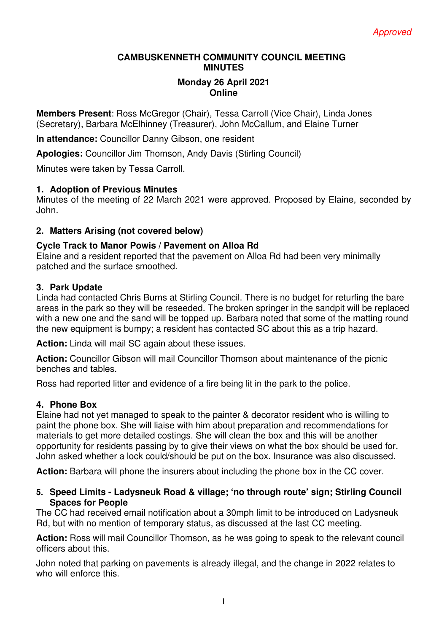## **CAMBUSKENNETH COMMUNITY COUNCIL MEETING MINUTES**

### **Monday 26 April 2021 Online**

**Members Present**: Ross McGregor (Chair), Tessa Carroll (Vice Chair), Linda Jones (Secretary), Barbara McElhinney (Treasurer), John McCallum, and Elaine Turner

**In attendance:** Councillor Danny Gibson, one resident

**Apologies:** Councillor Jim Thomson, Andy Davis (Stirling Council)

Minutes were taken by Tessa Carroll.

# **1. Adoption of Previous Minutes**

Minutes of the meeting of 22 March 2021 were approved. Proposed by Elaine, seconded by John.

## **2. Matters Arising (not covered below)**

## **Cycle Track to Manor Powis / Pavement on Alloa Rd**

Elaine and a resident reported that the pavement on Alloa Rd had been very minimally patched and the surface smoothed.

#### **3. Park Update**

Linda had contacted Chris Burns at Stirling Council. There is no budget for returfing the bare areas in the park so they will be reseeded. The broken springer in the sandpit will be replaced with a new one and the sand will be topped up. Barbara noted that some of the matting round the new equipment is bumpy; a resident has contacted SC about this as a trip hazard.

**Action:** Linda will mail SC again about these issues.

**Action:** Councillor Gibson will mail Councillor Thomson about maintenance of the picnic benches and tables.

Ross had reported litter and evidence of a fire being lit in the park to the police.

#### **4. Phone Box**

Elaine had not yet managed to speak to the painter & decorator resident who is willing to paint the phone box. She will liaise with him about preparation and recommendations for materials to get more detailed costings. She will clean the box and this will be another opportunity for residents passing by to give their views on what the box should be used for. John asked whether a lock could/should be put on the box. Insurance was also discussed.

**Action:** Barbara will phone the insurers about including the phone box in the CC cover.

## **5. Speed Limits - Ladysneuk Road & village; 'no through route' sign; Stirling Council Spaces for People**

The CC had received email notification about a 30mph limit to be introduced on Ladysneuk Rd, but with no mention of temporary status, as discussed at the last CC meeting.

**Action:** Ross will mail Councillor Thomson, as he was going to speak to the relevant council officers about this.

John noted that parking on pavements is already illegal, and the change in 2022 relates to who will enforce this.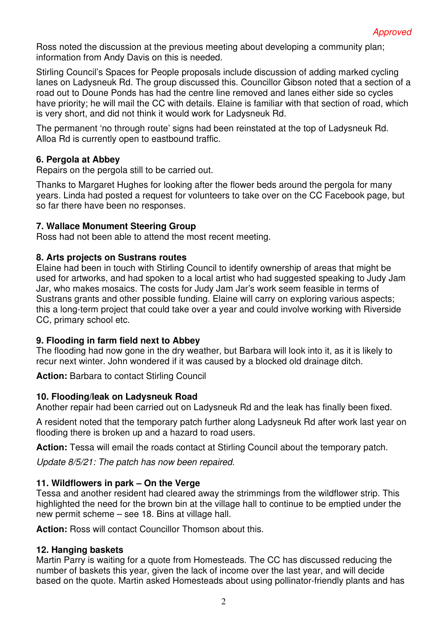Ross noted the discussion at the previous meeting about developing a community plan; information from Andy Davis on this is needed.

Stirling Council's Spaces for People proposals include discussion of adding marked cycling lanes on Ladysneuk Rd. The group discussed this. Councillor Gibson noted that a section of a road out to Doune Ponds has had the centre line removed and lanes either side so cycles have priority; he will mail the CC with details. Elaine is familiar with that section of road, which is very short, and did not think it would work for Ladysneuk Rd.

The permanent 'no through route' signs had been reinstated at the top of Ladysneuk Rd. Alloa Rd is currently open to eastbound traffic.

## **6. Pergola at Abbey**

Repairs on the pergola still to be carried out.

Thanks to Margaret Hughes for looking after the flower beds around the pergola for many years. Linda had posted a request for volunteers to take over on the CC Facebook page, but so far there have been no responses.

## **7. Wallace Monument Steering Group**

Ross had not been able to attend the most recent meeting.

## **8. Arts projects on Sustrans routes**

Elaine had been in touch with Stirling Council to identify ownership of areas that might be used for artworks, and had spoken to a local artist who had suggested speaking to Judy Jam Jar, who makes mosaics. The costs for Judy Jam Jar's work seem feasible in terms of Sustrans grants and other possible funding. Elaine will carry on exploring various aspects; this a long-term project that could take over a year and could involve working with Riverside CC, primary school etc.

#### **9. Flooding in farm field next to Abbey**

The flooding had now gone in the dry weather, but Barbara will look into it, as it is likely to recur next winter. John wondered if it was caused by a blocked old drainage ditch.

**Action:** Barbara to contact Stirling Council

#### **10. Flooding/leak on Ladysneuk Road**

Another repair had been carried out on Ladysneuk Rd and the leak has finally been fixed.

A resident noted that the temporary patch further along Ladysneuk Rd after work last year on flooding there is broken up and a hazard to road users.

**Action:** Tessa will email the roads contact at Stirling Council about the temporary patch.

*Update 8/5/21: The patch has now been repaired.* 

#### **11. Wildflowers in park – On the Verge**

Tessa and another resident had cleared away the strimmings from the wildflower strip. This highlighted the need for the brown bin at the village hall to continue to be emptied under the new permit scheme – see 18. Bins at village hall.

**Action:** Ross will contact Councillor Thomson about this.

#### **12. Hanging baskets**

Martin Parry is waiting for a quote from Homesteads. The CC has discussed reducing the number of baskets this year, given the lack of income over the last year, and will decide based on the quote. Martin asked Homesteads about using pollinator-friendly plants and has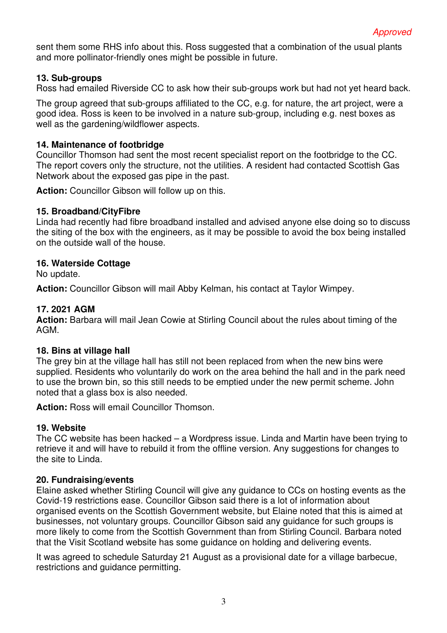sent them some RHS info about this. Ross suggested that a combination of the usual plants and more pollinator-friendly ones might be possible in future.

# **13. Sub-groups**

Ross had emailed Riverside CC to ask how their sub-groups work but had not yet heard back.

The group agreed that sub-groups affiliated to the CC, e.g. for nature, the art project, were a good idea. Ross is keen to be involved in a nature sub-group, including e.g. nest boxes as well as the gardening/wildflower aspects.

## **14. Maintenance of footbridge**

Councillor Thomson had sent the most recent specialist report on the footbridge to the CC. The report covers only the structure, not the utilities. A resident had contacted Scottish Gas Network about the exposed gas pipe in the past.

**Action:** Councillor Gibson will follow up on this.

## **15. Broadband/CityFibre**

Linda had recently had fibre broadband installed and advised anyone else doing so to discuss the siting of the box with the engineers, as it may be possible to avoid the box being installed on the outside wall of the house.

#### **16. Waterside Cottage**

No update.

**Action:** Councillor Gibson will mail Abby Kelman, his contact at Taylor Wimpey.

## **17. 2021 AGM**

Action: Barbara will mail Jean Cowie at Stirling Council about the rules about timing of the AGM.

#### **18. Bins at village hall**

The grey bin at the village hall has still not been replaced from when the new bins were supplied. Residents who voluntarily do work on the area behind the hall and in the park need to use the brown bin, so this still needs to be emptied under the new permit scheme. John noted that a glass box is also needed.

**Action:** Ross will email Councillor Thomson.

#### **19. Website**

The CC website has been hacked – a Wordpress issue. Linda and Martin have been trying to retrieve it and will have to rebuild it from the offline version. Any suggestions for changes to the site to Linda.

#### **20. Fundraising/events**

Elaine asked whether Stirling Council will give any guidance to CCs on hosting events as the Covid-19 restrictions ease. Councillor Gibson said there is a lot of information about organised events on the Scottish Government website, but Elaine noted that this is aimed at businesses, not voluntary groups. Councillor Gibson said any guidance for such groups is more likely to come from the Scottish Government than from Stirling Council. Barbara noted that the Visit Scotland website has some guidance on holding and delivering events.

It was agreed to schedule Saturday 21 August as a provisional date for a village barbecue, restrictions and guidance permitting.